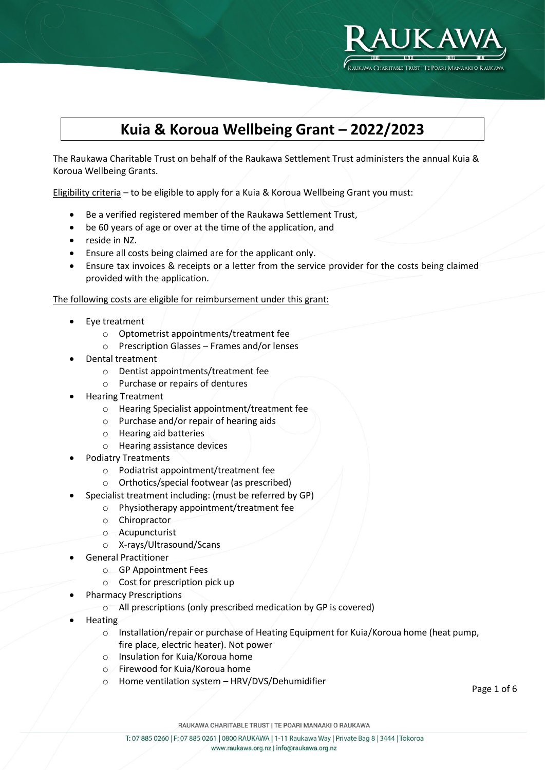

# **Kuia & Koroua Wellbeing Grant – 2022/2023**

The Raukawa Charitable Trust on behalf of the Raukawa Settlement Trust administers the annual Kuia & Koroua Wellbeing Grants.

Eligibility criteria – to be eligible to apply for a Kuia & Koroua Wellbeing Grant you must:

- Be a verified registered member of the Raukawa Settlement Trust,
- be 60 years of age or over at the time of the application, and
- reside in NZ.
- Ensure all costs being claimed are for the applicant only.
- Ensure tax invoices & receipts or a letter from the service provider for the costs being claimed provided with the application.

The following costs are eligible for reimbursement under this grant:

- Eye treatment
	- o Optometrist appointments/treatment fee
	- o Prescription Glasses Frames and/or lenses
- Dental treatment
	- o Dentist appointments/treatment fee
	- o Purchase or repairs of dentures
- Hearing Treatment
	- o Hearing Specialist appointment/treatment fee
	- o Purchase and/or repair of hearing aids
	- o Hearing aid batteries
	- o Hearing assistance devices
- Podiatry Treatments
	- o Podiatrist appointment/treatment fee
	- o Orthotics/special footwear (as prescribed)
- Specialist treatment including: (must be referred by GP)
	- o Physiotherapy appointment/treatment fee
	- o Chiropractor
	- o Acupuncturist
	- o X-rays/Ultrasound/Scans
- General Practitioner
	- o GP Appointment Fees
	- o Cost for prescription pick up
- Pharmacy Prescriptions
	- o All prescriptions (only prescribed medication by GP is covered)
- Heating
	- o Installation/repair or purchase of Heating Equipment for Kuia/Koroua home (heat pump, fire place, electric heater). Not power
	- o Insulation for Kuia/Koroua home
	- o Firewood for Kuia/Koroua home
	- Home ventilation system HRV/DVS/Dehumidifier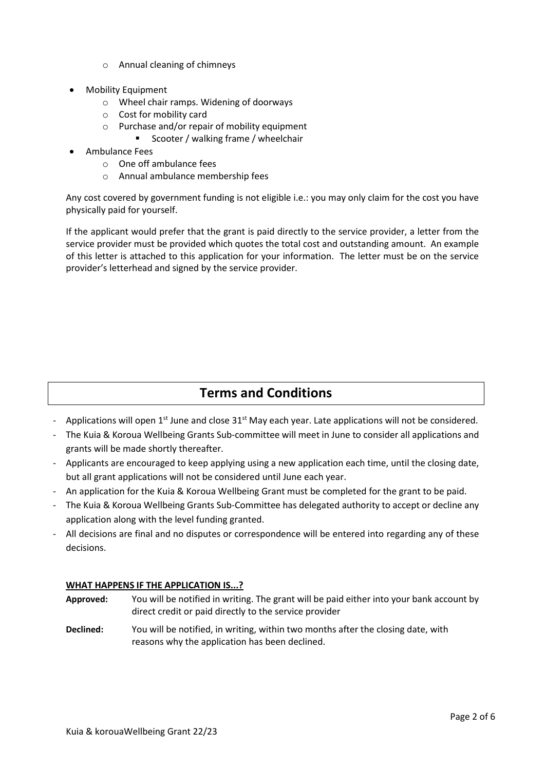- o Annual cleaning of chimneys
- Mobility Equipment
	- o Wheel chair ramps. Widening of doorways
	- o Cost for mobility card
	- $\circ$  Purchase and/or repair of mobility equipment
		- Scooter / walking frame / wheelchair
- Ambulance Fees
	- o One off ambulance fees
	- o Annual ambulance membership fees

Any cost covered by government funding is not eligible i.e.: you may only claim for the cost you have physically paid for yourself.

If the applicant would prefer that the grant is paid directly to the service provider, a letter from the service provider must be provided which quotes the total cost and outstanding amount. An example of this letter is attached to this application for your information. The letter must be on the service provider's letterhead and signed by the service provider.

### **Terms and Conditions**

- Applications will open  $1^{st}$  June and close  $31^{st}$  May each year. Late applications will not be considered.
- The Kuia & Koroua Wellbeing Grants Sub-committee will meet in June to consider all applications and grants will be made shortly thereafter.
- Applicants are encouraged to keep applying using a new application each time, until the closing date, but all grant applications will not be considered until June each year.
- An application for the Kuia & Koroua Wellbeing Grant must be completed for the grant to be paid.
- The Kuia & Koroua Wellbeing Grants Sub-Committee has delegated authority to accept or decline any application along with the level funding granted.
- All decisions are final and no disputes or correspondence will be entered into regarding any of these decisions.

#### **WHAT HAPPENS IF THE APPLICATION IS...?**

- **Approved:** You will be notified in writing. The grant will be paid either into your bank account by direct credit or paid directly to the service provider **Declined:** You will be notified, in writing, within two months after the closing date, with
- reasons why the application has been declined.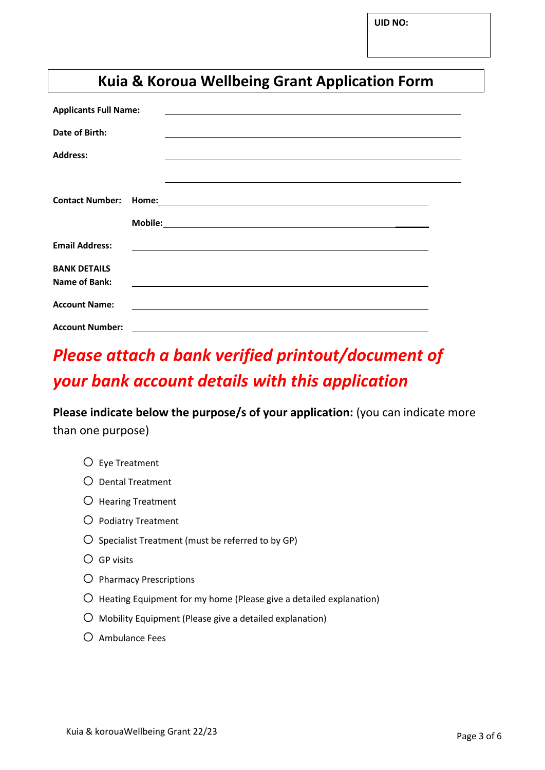**UID NO:**

# **Kuia & Koroua Wellbeing Grant Application Form**

| <b>Applicants Full Name:</b><br><u> 1980 - Jan Samuel Barbara, martin da shekarar 1980 - An tsara 1980 - An tsara 1980 - An tsara 1980 - An tsar</u> |                                                                                                                                                                                                                                |  |
|------------------------------------------------------------------------------------------------------------------------------------------------------|--------------------------------------------------------------------------------------------------------------------------------------------------------------------------------------------------------------------------------|--|
| Date of Birth:                                                                                                                                       | and the control of the control of the control of the control of the control of the control of the control of the                                                                                                               |  |
| <b>Address:</b>                                                                                                                                      |                                                                                                                                                                                                                                |  |
|                                                                                                                                                      |                                                                                                                                                                                                                                |  |
| <b>Contact Number:</b>                                                                                                                               | Home: Now You have a series of the series of the series of the series of the series of the series of the series of the series of the series of the series of the series of the series of the series of the series of the serie |  |
|                                                                                                                                                      |                                                                                                                                                                                                                                |  |
| <b>Email Address:</b>                                                                                                                                | <u> 1989 - Johann Stein, fransk politiker (d. 1989)</u>                                                                                                                                                                        |  |
| <b>BANK DETAILS</b>                                                                                                                                  |                                                                                                                                                                                                                                |  |
| Name of Bank:                                                                                                                                        |                                                                                                                                                                                                                                |  |
| <b>Account Name:</b>                                                                                                                                 | <u> 1989 - Johann Stoff, deutscher Stoffen und der Stoffen und der Stoffen und der Stoffen und der Stoffen und der</u>                                                                                                         |  |
| <b>Account Number:</b>                                                                                                                               |                                                                                                                                                                                                                                |  |

# *Please attach a bank verified printout/document of your bank account details with this application*

**Please indicate below the purpose/s of your application:** (you can indicate more than one purpose)

- o Eye Treatment
- o Dental Treatment
- o Hearing Treatment
- o Podiatry Treatment
- $\bigcirc$  Specialist Treatment (must be referred to by GP)
- $O$  GP visits
- o Pharmacy Prescriptions
- $\overline{O}$  Heating Equipment for my home (Please give a detailed explanation)
- $\overline{O}$  Mobility Equipment (Please give a detailed explanation)
- $O$  Ambulance Fees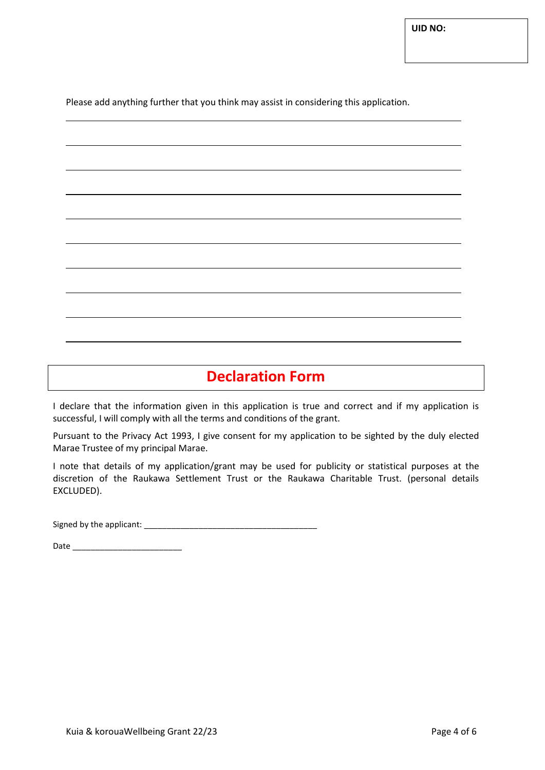Please add anything further that you think may assist in considering this application.

## **Declaration Form**

I declare that the information given in this application is true and correct and if my application is successful, I will comply with all the terms and conditions of the grant.

Pursuant to the Privacy Act 1993, I give consent for my application to be sighted by the duly elected Marae Trustee of my principal Marae.

I note that details of my application/grant may be used for publicity or statistical purposes at the discretion of the Raukawa Settlement Trust or the Raukawa Charitable Trust. (personal details EXCLUDED).

Signed by the applicant: \_\_\_\_\_\_\_\_\_\_\_\_\_\_\_\_\_\_\_\_\_\_\_\_\_\_\_\_\_\_\_\_\_\_\_\_\_\_

Date \_\_\_\_\_\_\_\_\_\_\_\_\_\_\_\_\_\_\_\_\_\_\_\_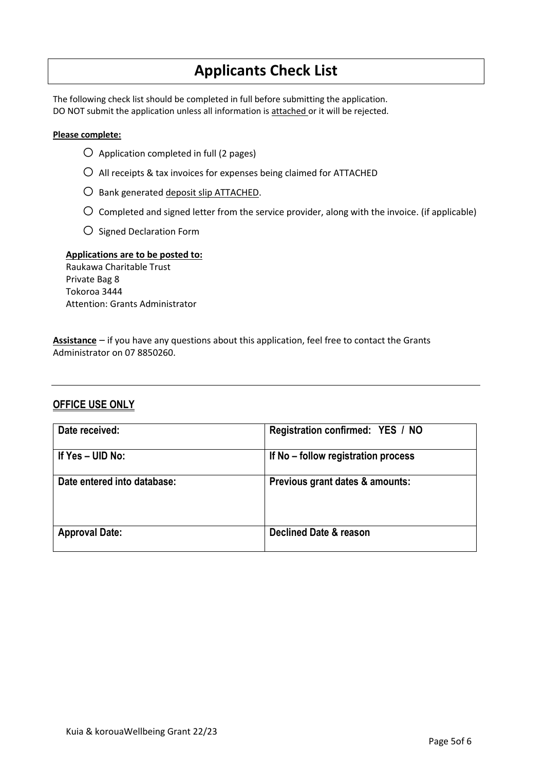# **Applicants Check List**

The following check list should be completed in full before submitting the application. DO NOT submit the application unless all information is attached or it will be rejected.

#### **Please complete:**

- $O$  Application completed in full (2 pages)
- $\bigcirc$  All receipts & tax invoices for expenses being claimed for ATTACHED
- O Bank generated deposit slip ATTACHED.
- $\bigcirc$  Completed and signed letter from the service provider, along with the invoice. (if applicable)
- o Signed Declaration Form

#### **Applications are to be posted to:**

Raukawa Charitable Trust Private Bag 8 Tokoroa 3444 Attention: Grants Administrator

**Assistance** – if you have any questions about this application, feel free to contact the Grants Administrator on 07 8850260.

#### **OFFICE USE ONLY**

| Date received:              | Registration confirmed: YES / NO    |
|-----------------------------|-------------------------------------|
| If $Yes - UID No$ :         | If No – follow registration process |
| Date entered into database: | Previous grant dates & amounts:     |
| <b>Approval Date:</b>       | Declined Date & reason              |